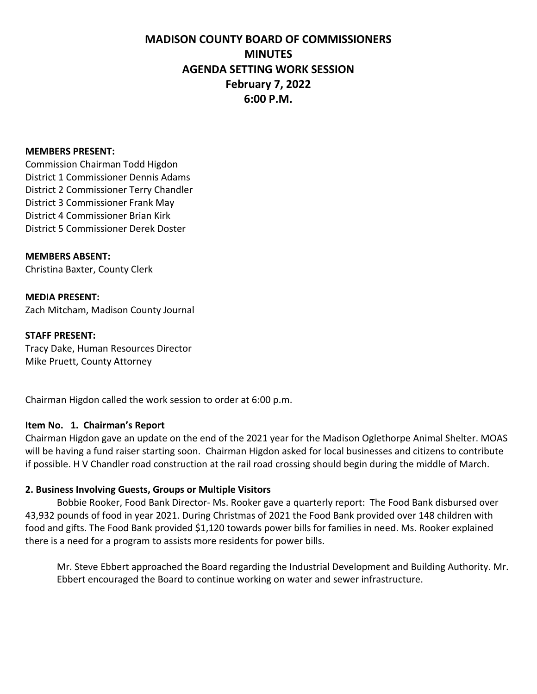#### **MEMBERS PRESENT:**

Commission Chairman Todd Higdon District 1 Commissioner Dennis Adams District 2 Commissioner Terry Chandler District 3 Commissioner Frank May District 4 Commissioner Brian Kirk District 5 Commissioner Derek Doster

#### **MEMBERS ABSENT:**

Christina Baxter, County Clerk

# **MEDIA PRESENT:**

Zach Mitcham, Madison County Journal

#### **STAFF PRESENT:**

Tracy Dake, Human Resources Director Mike Pruett, County Attorney

Chairman Higdon called the work session to order at 6:00 p.m.

#### **Item No. 1. Chairman's Report**

Chairman Higdon gave an update on the end of the 2021 year for the Madison Oglethorpe Animal Shelter. MOAS will be having a fund raiser starting soon. Chairman Higdon asked for local businesses and citizens to contribute if possible. H V Chandler road construction at the rail road crossing should begin during the middle of March.

#### **2. Business Involving Guests, Groups or Multiple Visitors**

Bobbie Rooker, Food Bank Director- Ms. Rooker gave a quarterly report: The Food Bank disbursed over 43,932 pounds of food in year 2021. During Christmas of 2021 the Food Bank provided over 148 children with food and gifts. The Food Bank provided \$1,120 towards power bills for families in need. Ms. Rooker explained there is a need for a program to assists more residents for power bills.

Mr. Steve Ebbert approached the Board regarding the Industrial Development and Building Authority. Mr. Ebbert encouraged the Board to continue working on water and sewer infrastructure.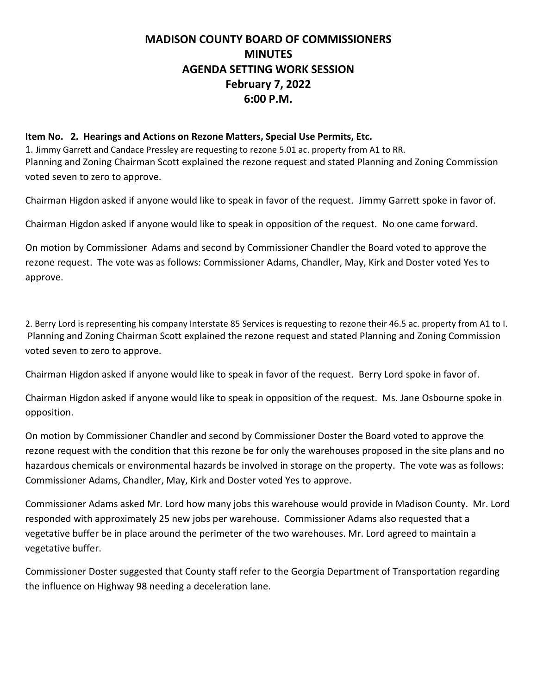### **Item No. 2. Hearings and Actions on Rezone Matters, Special Use Permits, Etc.**

1. Jimmy Garrett and Candace Pressley are requesting to rezone 5.01 ac. property from A1 to RR. Planning and Zoning Chairman Scott explained the rezone request and stated Planning and Zoning Commission voted seven to zero to approve.

Chairman Higdon asked if anyone would like to speak in favor of the request. Jimmy Garrett spoke in favor of.

Chairman Higdon asked if anyone would like to speak in opposition of the request. No one came forward.

On motion by Commissioner Adams and second by Commissioner Chandler the Board voted to approve the rezone request. The vote was as follows: Commissioner Adams, Chandler, May, Kirk and Doster voted Yes to approve.

2. Berry Lord is representing his company Interstate 85 Services is requesting to rezone their 46.5 ac. property from A1 to I. Planning and Zoning Chairman Scott explained the rezone request and stated Planning and Zoning Commission voted seven to zero to approve.

Chairman Higdon asked if anyone would like to speak in favor of the request. Berry Lord spoke in favor of.

Chairman Higdon asked if anyone would like to speak in opposition of the request. Ms. Jane Osbourne spoke in opposition.

On motion by Commissioner Chandler and second by Commissioner Doster the Board voted to approve the rezone request with the condition that this rezone be for only the warehouses proposed in the site plans and no hazardous chemicals or environmental hazards be involved in storage on the property. The vote was as follows: Commissioner Adams, Chandler, May, Kirk and Doster voted Yes to approve.

Commissioner Adams asked Mr. Lord how many jobs this warehouse would provide in Madison County. Mr. Lord responded with approximately 25 new jobs per warehouse. Commissioner Adams also requested that a vegetative buffer be in place around the perimeter of the two warehouses. Mr. Lord agreed to maintain a vegetative buffer.

Commissioner Doster suggested that County staff refer to the Georgia Department of Transportation regarding the influence on Highway 98 needing a deceleration lane.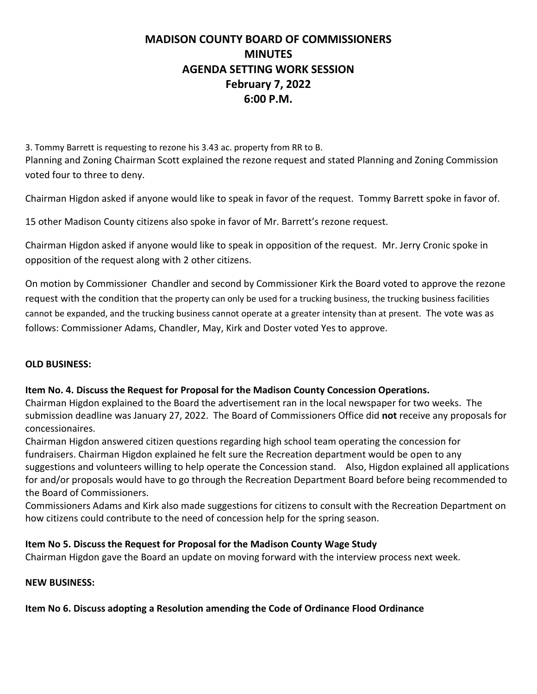3. Tommy Barrett is requesting to rezone his 3.43 ac. property from RR to B. Planning and Zoning Chairman Scott explained the rezone request and stated Planning and Zoning Commission voted four to three to deny.

Chairman Higdon asked if anyone would like to speak in favor of the request. Tommy Barrett spoke in favor of.

15 other Madison County citizens also spoke in favor of Mr. Barrett's rezone request.

Chairman Higdon asked if anyone would like to speak in opposition of the request. Mr. Jerry Cronic spoke in opposition of the request along with 2 other citizens.

On motion by Commissioner Chandler and second by Commissioner Kirk the Board voted to approve the rezone request with the condition that the property can only be used for a trucking business, the trucking business facilities cannot be expanded, and the trucking business cannot operate at a greater intensity than at present. The vote was as follows: Commissioner Adams, Chandler, May, Kirk and Doster voted Yes to approve.

# **OLD BUSINESS:**

# **Item No. 4. Discuss the Request for Proposal for the Madison County Concession Operations.**

Chairman Higdon explained to the Board the advertisement ran in the local newspaper for two weeks. The submission deadline was January 27, 2022. The Board of Commissioners Office did **not** receive any proposals for concessionaires.

Chairman Higdon answered citizen questions regarding high school team operating the concession for fundraisers. Chairman Higdon explained he felt sure the Recreation department would be open to any suggestions and volunteers willing to help operate the Concession stand. Also, Higdon explained all applications for and/or proposals would have to go through the Recreation Department Board before being recommended to the Board of Commissioners.

Commissioners Adams and Kirk also made suggestions for citizens to consult with the Recreation Department on how citizens could contribute to the need of concession help for the spring season.

# **Item No 5. Discuss the Request for Proposal for the Madison County Wage Study**

Chairman Higdon gave the Board an update on moving forward with the interview process next week.

### **NEW BUSINESS:**

**Item No 6. Discuss adopting a Resolution amending the Code of Ordinance Flood Ordinance**